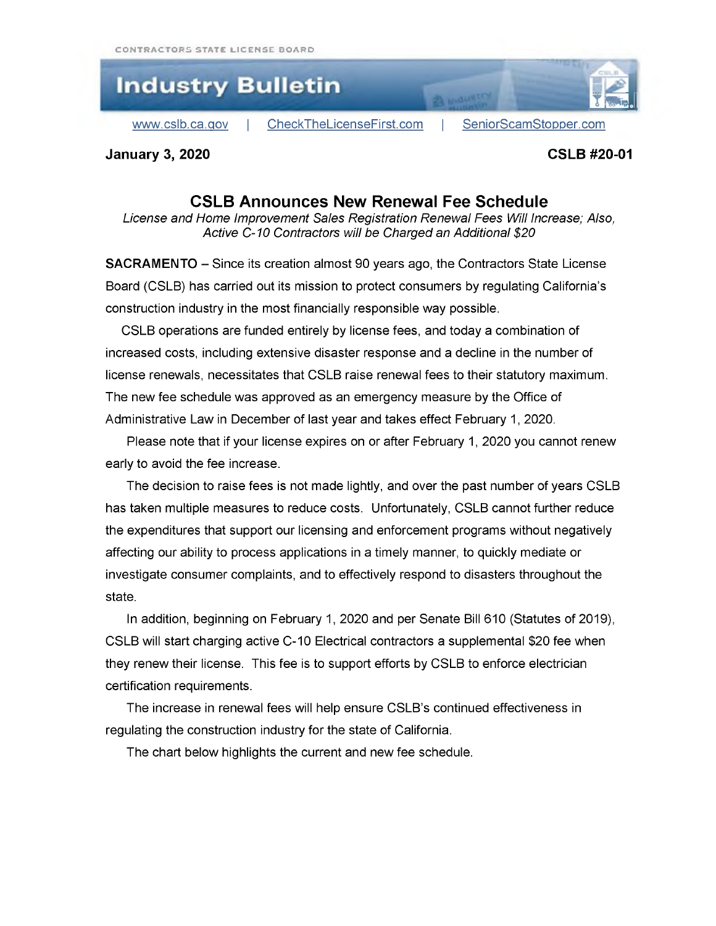

**January 3, 2020 CSLB #20-01**

## **CSLB Announces New Renewal Fee Schedule**

*License and Home Improvement Sales Registration Renewal Fees Will Increase; Also, Active C-10 Contractors will be Charged an Additional \$20*

**SACRAMENTO -** Since its creation almost 90 years ago, the Contractors State License Board (CSLB) has carried out its mission to protect consumers by regulating California's construction industry in the most financially responsible way possible.

CSLB operations are funded entirely by license fees, and today a combination of increased costs, including extensive disaster response and a decline in the number of license renewals, necessitates that CSLB raise renewal fees to their statutory maximum. The new fee schedule was approved as an emergency measure by the Office of Administrative Law in December of last year and takes effect February 1, 2020.

Please note that if your license expires on or after February 1, 2020 you cannot renew early to avoid the fee increase.

The decision to raise fees is not made lightly, and over the past number of years CSLB has taken multiple measures to reduce costs. Unfortunately, CSLB cannot further reduce the expenditures that support our licensing and enforcement programs without negatively affecting our ability to process applications in a timely manner, to quickly mediate or investigate consumer complaints, and to effectively respond to disasters throughout the state.

In addition, beginning on February 1, 2020 and per Senate Bill 610 (Statutes of 2019), CSLB will start charging active C-10 Electrical contractors a supplemental \$20 fee when they renew their license. This fee is to support efforts by CSLB to enforce electrician certification requirements.

The increase in renewal fees will help ensure CSLB's continued effectiveness in regulating the construction industry for the state of California.

The chart below highlights the current and new fee schedule.